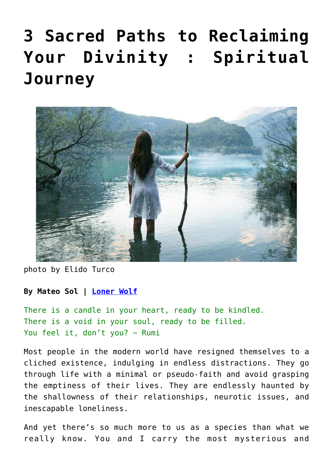# **[3 Sacred Paths to Reclaiming](https://consciouslifenews.com/spiritual-journey-3-sacred-paths-reclaiming-divinity/11116528/) [Your Divinity : Spiritual](https://consciouslifenews.com/spiritual-journey-3-sacred-paths-reclaiming-divinity/11116528/) [Journey](https://consciouslifenews.com/spiritual-journey-3-sacred-paths-reclaiming-divinity/11116528/)**



photo by Elido Turco

#### **By Mateo Sol | [Loner Wolf](https://lonerwolf.com/spiritual-journey/)**

There is a candle in your heart, ready to be kindled. There is a void in your soul, ready to be filled. You feel it, don't you?  $\sim$  Rumi

Most people in the modern world have resigned themselves to a cliched existence, indulging in endless distractions. They go through life with a minimal or pseudo-faith and avoid grasping the emptiness of their lives. They are endlessly haunted by the shallowness of their relationships, neurotic issues, and inescapable loneliness.

And yet there's so much more to us as a species than what we really know. You and I carry the most mysterious and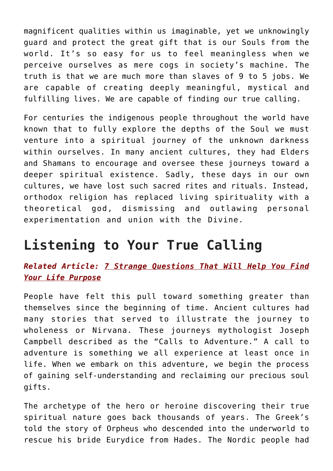magnificent qualities within us imaginable, yet we unknowingly guard and protect the great gift that is our Souls from the world. It's so easy for us to feel meaningless when we perceive ourselves as mere cogs in society's machine. The truth is that we are much more than slaves of 9 to 5 jobs. We are capable of creating deeply meaningful, mystical and fulfilling lives. We are capable of finding our true calling.

For centuries the indigenous people throughout the world have known that to fully explore the depths of the Soul we must venture into a spiritual journey of the unknown darkness within ourselves. In many ancient cultures, they had Elders and Shamans to encourage and oversee these journeys toward a deeper spiritual existence. Sadly, these days in our own cultures, we have lost such sacred rites and rituals. Instead, orthodox religion has replaced living spirituality with a theoretical god, dismissing and outlawing personal experimentation and union with the Divine.

## **Listening to Your True Calling**

*Related Article: [7 Strange Questions That Will Help You Find](https://consciouslifenews.com/7-strange-questions-that-will-help-you-find-your-life-purpose/11105850/) [Your Life Purpose](https://consciouslifenews.com/7-strange-questions-that-will-help-you-find-your-life-purpose/11105850/)*

People have felt this pull toward something greater than themselves since the beginning of time. Ancient cultures had many stories that served to illustrate the journey to wholeness or Nirvana. These journeys mythologist Joseph Campbell described as the "Calls to Adventure." A call to adventure is something we all experience at least once in life. When we embark on this adventure, we begin the process of gaining self-understanding and reclaiming our precious soul gifts.

The archetype of the hero or heroine discovering their true spiritual nature goes back thousands of years. The Greek's told the story of Orpheus who descended into the underworld to rescue his bride Eurydice from Hades. The Nordic people had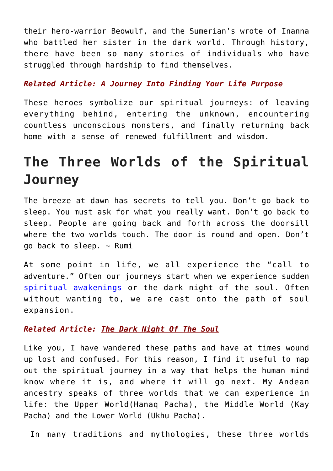their hero-warrior Beowulf, and the Sumerian's wrote of Inanna who battled her sister in the dark world. Through history, there have been so many stories of individuals who have struggled through hardship to find themselves.

#### *Related Article: [A Journey Into Finding Your Life Purpose](https://consciouslifenews.com/journey-finding-life-purpose/1173977/)*

These heroes symbolize our spiritual journeys: of leaving everything behind, entering the unknown, encountering countless unconscious monsters, and finally returning back home with a sense of renewed fulfillment and wisdom.

## **The Three Worlds of the Spiritual Journey**

The breeze at dawn has secrets to tell you. Don't go back to sleep. You must ask for what you really want. Don't go back to sleep. People are going back and forth across the doorsill where the two worlds touch. The door is round and open. Don't go back to sleep.  $\sim$  Rumi

At some point in life, we all experience the "call to adventure." Often our journeys start when we experience sudden [spiritual awakenings](https://lonerwolf.com/spiritual-awakening-symptoms/) or the dark night of the soul. Often without wanting to, we are cast onto the path of soul expansion.

#### *Related Article: [The Dark Night Of The Soul](https://consciouslifenews.com/dark-night-soul/1166186/)*

Like you, I have wandered these paths and have at times wound up lost and confused. For this reason, I find it useful to map out the spiritual journey in a way that helps the human mind know where it is, and where it will go next. My Andean ancestry speaks of three worlds that we can experience in life: the Upper World(Hanaq Pacha), the Middle World (Kay Pacha) and the Lower World (Ukhu Pacha).

In many traditions and mythologies, these three worlds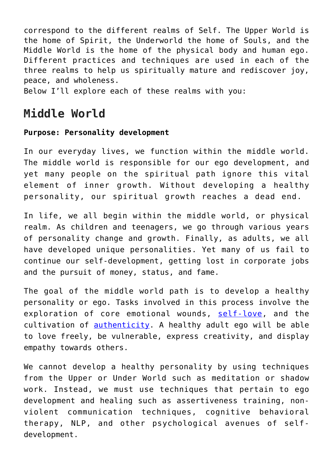correspond to the different realms of Self. The Upper World is the home of Spirit, the Underworld the home of Souls, and the Middle World is the home of the physical body and human ego. Different practices and techniques are used in each of the three realms to help us spiritually mature and rediscover joy, peace, and wholeness.

Below I'll explore each of these realms with you:

### **Middle World**

#### **Purpose: Personality development**

In our everyday lives, we function within the middle world. The middle world is responsible for our ego development, and yet many people on the spiritual path ignore this vital element of inner growth. Without developing a healthy personality, our spiritual growth reaches a dead end.

In life, we all begin within the middle world, or physical realm. As children and teenagers, we go through various years of personality change and growth. Finally, as adults, we all have developed unique personalities. Yet many of us fail to continue our self-development, getting lost in corporate jobs and the pursuit of money, status, and fame.

The goal of the middle world path is to develop a healthy personality or ego. Tasks involved in this process involve the exploration of core emotional wounds, [self-love](https://lonerwolf.com/self-love-doctor-of-the-soul/), and the cultivation of [authenticity.](https://lonerwolf.com/authenticity/) A healthy adult ego will be able to love freely, be vulnerable, express creativity, and display empathy towards others.

We cannot develop a healthy personality by using techniques from the Upper or Under World such as meditation or shadow work. Instead, we must use techniques that pertain to ego development and healing such as assertiveness training, nonviolent communication techniques, cognitive behavioral therapy, NLP, and other psychological avenues of selfdevelopment.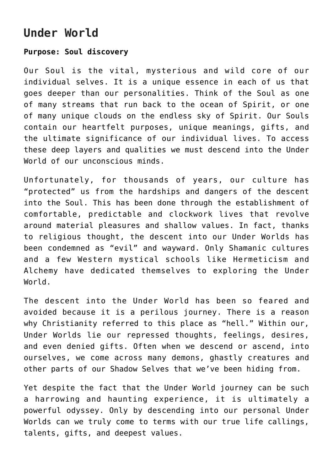## **Under World**

#### **Purpose: Soul discovery**

Our Soul is the vital, mysterious and wild core of our individual selves. It is a unique essence in each of us that goes deeper than our personalities. Think of the Soul as one of many streams that run back to the ocean of Spirit, or one of many unique clouds on the endless sky of Spirit. Our Souls contain our heartfelt purposes, unique meanings, gifts, and the ultimate significance of our individual lives. To access these deep layers and qualities we must descend into the Under World of our unconscious minds.

Unfortunately, for thousands of years, our culture has "protected" us from the hardships and dangers of the descent into the Soul. This has been done through the establishment of comfortable, predictable and clockwork lives that revolve around material pleasures and shallow values. In fact, thanks to religious thought, the descent into our Under Worlds has been condemned as "evil" and wayward. Only Shamanic cultures and a few Western mystical schools like Hermeticism and Alchemy have dedicated themselves to exploring the Under World.

The descent into the Under World has been so feared and avoided because it is a perilous journey. There is a reason why Christianity referred to this place as "hell." Within our, Under Worlds lie our repressed thoughts, feelings, desires, and even denied gifts. Often when we descend or ascend, into ourselves, we come across many demons, ghastly creatures and other parts of our Shadow Selves that we've been hiding from.

Yet despite the fact that the Under World journey can be such a harrowing and haunting experience, it is ultimately a powerful odyssey. Only by descending into our personal Under Worlds can we truly come to terms with our true life callings, talents, gifts, and deepest values.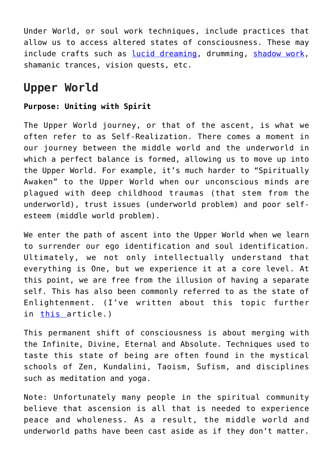Under World, or soul work techniques, include practices that allow us to access altered states of consciousness. These may include crafts such as [lucid dreaming](https://lonerwolf.com/lucid-dreaming/), drumming, [shadow work,](https://lonerwolf.com/shadow-work-demons/) shamanic trances, vision quests, etc.

## **Upper World**

#### **Purpose: Uniting with Spirit**

The Upper World journey, or that of the ascent, is what we often refer to as Self-Realization. There comes a moment in our journey between the middle world and the underworld in which a perfect balance is formed, allowing us to move up into the Upper World. For example, it's much harder to "Spiritually Awaken" to the Upper World when our unconscious minds are plagued with deep childhood traumas (that stem from the underworld), trust issues (underworld problem) and poor selfesteem (middle world problem).

We enter the path of ascent into the Upper World when we learn to surrender our ego identification and soul identification. Ultimately, we not only intellectually understand that everything is One, but we experience it at a core level. At this point, we are free from the illusion of having a separate self. This has also been commonly referred to as the state of Enlightenment. (I've written about this topic further in [this a](https://lonerwolf.com/awakened-soul-reincarnation/)rticle.)

This permanent shift of consciousness is about merging with the Infinite, Divine, Eternal and Absolute. Techniques used to taste this state of being are often found in the mystical schools of Zen, Kundalini, Taoism, Sufism, and disciplines such as meditation and yoga.

Note: Unfortunately many people in the spiritual community believe that ascension is all that is needed to experience peace and wholeness. As a result, the middle world and underworld paths have been cast aside as if they don't matter.